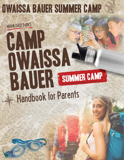**MIAMI-DADE PARKS** 

HAVD

# OUNSSAT BAULER SUMMER CAMP Handbook for Parents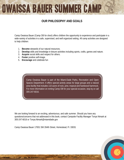# **OUR PHILOSOPHY AND GOALS**

Camp Owaissa Bauer (Camp OB for short) offers children the opportunity to experience and participate in a wide-variety of activities in a safe, supervised, and well organized setting. All camp activities are designed to help children:

- 1. **Become** stewards of our natural resources.
- 2. **Develop** skills and knowledge in leisure activities including sports, crafts, games and nature.
- 3. **Acquire** social skills and respect for others.
- 4. **Foster** positive self-image.
- 5. **Encourage** and celebrate fun

Camp Owaissa Bauer is part of the Miami-Dade Parks, Recreation and Open Spaces Department. It offers special activity areas for large groups and a natural area facility that includes 110 acers of rock, pine, tropical and hardwood hammock. For more information on renting Camp OB for your special occasion, stop by or call 305-247-6016.

We are looking forward to an exciting, adventurous, and safe summer. Should you have any questions/concerns that not addressed in this book, contact Campsite Facility Manager Tonya Nimark at 305-247-6016 or [Tonya.Nimark@miamidade.gov](mailto:Tonya.Nimark@miamidade.gov)

Camp Owaissa Bauer 17001 SW 264th Street, Homestead, Fl. 33031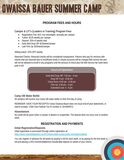# **PROGRAM FEES AND HOURS**

# **Camper & LIT's (Leaders in Training) Program Fees**

- Registration Fee: \$15, non-refundable, annually per camper.
- Tuition: \$125 weekly per camper.
- Deposit: 25% of weekly total
- Early Bird Drop Off: \$10/week/camper
- Late Pick Up: \$10/week/camper

#### Sibling tuition: 10% OFF weekly

Returned Checks: Returned checks will be considered nonpayment. Patrons who pay for services with checks that are returned due to insufficient funds or closed accounts will be charged \$30 service fee and will not be allowed to enroll in any programs until the amount of check plus the \$30 Service fee have been paid in full.

| <b>Hours of Operation</b>                                       |  |
|-----------------------------------------------------------------|--|
| Early Bird Drop Off: 7:30 am - 8 am<br>Drop Off: 8 am - 8:30 am |  |
| Camp Runs: 8:30 am - 4:30 pm                                    |  |
| Pick Up: $4:30$ pm $-5$ pm<br>Extended Care: 5 - 6 pm           |  |

# **Camp OB Water Bottle**

All campers will receive one Camp OB water bottle on their first day of camp.

REMINDER: SAVE YOUR RECEIPTS! Camp Owaissa Bauer does not issue end-of-year statements, or reprint receipts. Child Care Federal Tax ID number is: 59-6000573.

### **Absenteeism**

No credit will be given when a camper is absent or suspended. The deposit does not carry over to another week.

# **REGISTRATION AND PAYMENTS**

### **Initial Registration/Deposits**

Initial registration is processed through online registration at: <https://www.miamidadeparks.com/FL/miami-dade-county-parks-recreation/catalog>

You can register in advance for all weeks by paying in full for each week, or by paying for the first week in full and placing a 25% nonrefundable/non-transferable deposit on weeks of your choice.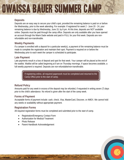### **Deposits**

Deposits are an easy way to secure your child's spot, provided the remaining balance is paid on or before the Wednesday, prior to the week attending. For example: If registered for week 2 - June 20 - 24, your remaining balance is due by Wednesday, June 15, by 6 pm. At this time, deposits are NOT available online. Deposits must be paid through the camp office. Deposits are only available after you have opened an account through the Miami Dade website and paid in FULL for your first week. Deposits are nonrefundable and non-transferable.

# **Weekly Payments**

If a camper is enrolled with a deposit for a particular week(s), a payment of the remaining balance must be made to complete the registration and maintain their spot. Payment is required on or before the Wednesday prior to each week the camper is scheduled to participate.

# **Late Payment**

Late payments result in a loss of deposit and spot for that week. Your camper will be placed at the end of the waitlist. Waitlist will be called beginning at 9 am on Thursday mornings. If space becomes available, a full weekly payment is required. Deposits are non-refundable/non-transferable.

> If registering online, all required paperwork must be completed and returned to the Camp Office prior to the start of camp.

# **Refund Policy**

Amounts paid for any week in excess of the deposit may be refunded, if requested in writing seven (7) days prior to the child's attendance. No refund is given after the start of the camp week.

# **Forms of Payment**

Acceptable forms of payment include: cash, check, Visa, MasterCard, Discover, or AMEX. We cannot hold any weeks or availability without appropriate payment.

# **Registration Forms**

All required registration forms must be completed and submitted prior to the start of camp.

- Registration/Emergency Contact Form
- Authorization for Medical Treatment
- Photo Release
- Parent Handbook Acknowledgement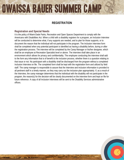# **REGISTRATION**

### **Registration and Special Needs**

It is the policy of Miami-Dade Parks, Recreation and Open Spaces Department to comply with the Americans with Disabilities Act. When a child with a disability registers for a program, an Inclusion Interview will be conducted to determine what, if any supports are needed, and to plan for those supports, or to document the reason that the individual will not participate in the program. The Inclusion Interview form shall be completed when any potential participant is identified as having a disability before, during or after the registration process. The interview will be completed by the Camp Manager or his/her designee, which shall be an employee at Recreation Specialist level or above. The interview shall take place in an environment which allows for privacy and confidentiality. The employee conducting the interview shall add to the form any information that is of benefit to the inclusion process, whether there is a question relating to that issue or not. No participant with a disability shall be discharged from the program without a completed Inclusion Interview on file. The completed form shall be kept with the registration form and utilized by field staff. The camp manager is responsible to assure that the Interview and inclusion information is provided to all pertinent staff in a timely manner, so they may carry out the inclusion plan appropriately. If, as a result of the Interview, the camp manager determines that the individual with the disability will not participate in the program, the reason(s) for the decision will be clearly documented on the interview form and kept on file for future reference. A copy of all Inclusion Interviews will be sent to the Disability Services administrative offices.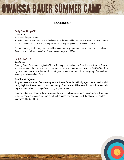# **PROCEDURES**

# **Early Bird Drop Off**

### **7:30 – 8 am**

\$10 weekly fee/per camper

For safety reasons, campers are absolutely not to be dropped off before 7:30 am. Prior to 7:30 am there is limited staff who are not available. Campers will be participating in station activities until 8am.

You must pre-register for early bird drop off to ensure that the proper counselor to camper ratio is followed. *If you are not enrolled in early drop off, you may not drop off until 8am.*

### **Camp Drop Off**

#### **8 - 8:30 am**

Opening Camp Ceremonies begin at 8:30 am. All camp activities begin at 9 am. If you arrive after 9 am you will need to park in the first circle at a parking slot, remain in your car and call the office (305-247-6016) to sign in your camper. A camp leader will come to your car and walk your child to their group. There will be no camp admittance after 10am.

#### **Touchless Sign-In**

For your convenience, we offer a drive-up service. Please follow the traffic signage/cones to the dining hall for signing in/out. Please remain in your car for drop off and pick up. This means that you will be required to stay in your car when dropping off and picking up your camper.

Once signed in your camper will join their group for low key activities until opening ceremonies. If you need to make a payments, complete a form, speak with a supervisor, etc. please call the office after 8am for assistance (305-247-6016)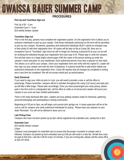# **PROCEDURES**

#### **Pick Up and Touchless Sign-out**

Pick Up 4:30 – 5 pm Extended Care 5 – 6 pm \$10 weekly fee/per camper

#### **Touchless Sign-out**

Prior to the first day, parents must complete the registration packet. On the registration form it allows you to authorize individuals to pick up your camper. Only those individuals authorized on the form will be permitted to pick up your camper. All parents, guardians and authorized individuals MUST submit an enlarged copy of their photo ID with their registration form. All copies will be kept on file at Camp OB, there are no exceptions! Due to "Touchless" sign in/out we will no longer be checking a physical ID at your car but will be verifying the individual through your registration form and copy of ID. Please type or write the campers first and last name on a large bright colored paper AND the name of the person picking up under the camper's name and place on your dashboard. Each authorized person must have a placard on their dash. This allows us to call for your camper, check your registration form and verify with the copied ID. Leader will then sign out your camper and note the time of departure. If a parent would like to add and/or delete any authorized individuals on the registration form, Camp OB requires that all changes be completed in writing and a new form be completed. We will not accept verbal pick up authorizations.

#### **Early Dismissal**

If you need to sign your child out prior to 4 pm, you will need to provide a note or call the office to prearrange. Please remember, campers will be in activities throughout the camp (110 acers) and early pick up will take a little longer. Please plan accordingly. Once you have prearranged your early pickup, please park in the first circle in a designated slot, call the office to notify us of arrival and a leader will escort your camper to you once we have verified authorization.

There is NO early dismissal after 4pm. Leaders are busy getting campers ready for dismissal, gathering personal belongings and participating in closing ceremonies.

Beginning at 4:30 pm to 5pm, we will begin curb service pick up/sign out. A camp supervisor will be at the curb to call for campers and verify authorized individuals for pickup. Please have your placard on your dash! Reminder: You will not be allowed to leave your car.

#### **Late Pickup Fees**

Campers who have not been picked up by 5pm will be registered into extended care, weekly fee is \$10.

#### **Extended Care**

\$10 weekly fee/per camper

5-6pm

Campers must preregister for extended care to ensure that the proper counselor to camper ratio is followed. Campers not picked up from extended care by 6:00 pm will result in a late fee. All late fees must be paid at that time. Late fee is \$5 for every 15 minutes. If you are running late, please call the camp office at 305-247-6016.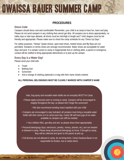# **PROCEDURES**

#### **Dress Code**

Campers should dress cool and comfortable! Remember, your child is at camp to have fun, learn and play. Please do not send campers in any clothing that cannot get dirty. All campers are to dress appropriately, no halter tops or tube tops allowed, all shorts must be mid-thigh in length and T-shirt slogans must be kid friendly and appropriate. Please make sure to check the camp schedule for any "Dress Up Days."

For safety purposes, "Heelys" (skate shoes), open-toed shoes, heeled shoes and flip flops are not permitted. Sneakers or tennis shoes are strongly recommended. Water shoes are acceptable for water days and pool. If a camper comes to camp in inappropriate foot or clothing attire, a parent or emergency contact will be notified to bring appropriate attire/shoes or to pick up the camper.

### **Every Day is a Water Day!**

Please send your child with:

- Towel
- Bathing Suit
- Sunscreen
- And a change of clothing (optional) in a bag with their name clearly marked.

### **ALL PERSONAL BELONGINGS MUST BE CLEARLY MARKED WITH CAMPER'S NAME**

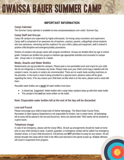# **IMPORTANT INFORMATION**

### **Camp Calendar**

The Summer Camp calendar is available at www.campowaissabauer.com under: Summer Day.

### **Camp Staff and Gro**u**ps**

Camp OB campers are supervised by highly enthusiastic, fun-loving camp counselors and supervisors. Camp staff is comprised of an awesome mix of teachers, coaches, parents, college/high school students who love adventure, mentoring and the outdoors! For your child's safety and enjoyment, staff is trained in positive child discipline and emergency/safety procedures.

Division of campers into groups varies with program enrollment. Groups are divided either by age or school grade. Campers are divided into groups to maintain age appropriate activities and counselor to camper ratio. Group ratio is 12 campers to 1 leader.

#### **Meals, Snacks and Water Bottles**

Meals/snacks are not provided for campers. Please pack a non-perishable lunch and snack for your child. We do not refrigerate or microwave any foods. Please make sure your child's lunch bag is labeled with the camper's name. Ice packs or coolers are recommended. There are no snack /soda vending machines on the premises. In the event a meal is being provided for a special event, advance notice will be given regarding the menu. If for any reason your child does not like what is on the menu, please send a meal with them.

Reusable water bottles are a **must!** All water bottles must have:

- A closed top. Suggestion: Water bottles with a strap helps campers keep up with their water bottle
- The camper's first **and** last name written on the bottle.

### **Note: Disposable water bottles left at the end of the day will be discarded.**

#### **Lost and Found**

Please encourage your child to keep track of his/her belongings. The Miami-Dade County Parks, Recreation & Open Spaces Department is not responsible for broken, lost or stolen items. All belongings left at camp will be placed in the lost and found box. Items not claimed after TWO weeks will be donated to a good cause.

### **Telephone Usage**

In case of an emergency, please call the Camp Office. All pick up arrangements should be made at home prior to your child coming to camp. A parent, guardian, or emergency contact will be called if an emergency situation arises, or if your child becomes ill. Cell phones are **NOT** permitted at camp for any reason. All cell phones brought into camp will be held in the office and returned to the parent at pick up. Multiple offenses will result in suspension from program.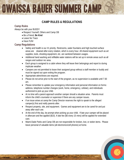# **CAMP RULES & REGULATIONS**

### **Camp Rules**

Always be with your BUDDY

- Respect Yourself, Others and Camp OB
- Be a Friend, **Be Kind**
- Leave No Trace
- Have FUN!

# **Camp Regulations**

- Safety and health is our #1 priority. Restrooms, water fountains and high touched surface areas are cleaned after every rotation, which is every hour. All shared equipment such as art supplies, tools, shooting equipment, etc. are sanitized between usages.
- Additional hand washing and refillable water stations will be set up in remote areas such as all ranges and outdoor rec area.
- Each group is assigned to a cabin where they will leave their belongings and report to during implicate weather.
- Campers are not permitted to leave their assigned group without a staff member or buddy and must be signed out upon exiting the program.
- Appropriate attire/shoes are required.
- Please do not arrive prior to the start of the program, as no supervision is available until 7:30 am.
- Please remember to update your emergency information and personal information on forms: address, telephone number changes (work, home, emergency, cellular), and individuals authorized to pick up your child.
- At no time will a parent approach another camper should a situation arise. Parents must inform the child's counselor or supervisor if there are any camper issues.
- If an issue arises at camp the Camp Director reserves the right to speak to the alleged camper(s) first and notify parents after.
- Respect property, site, and equipment. Games and equipment are to be cared for and put away after each use.
- At the end of the day, be prompt when picking up your child. If late your camper will be placed in aftercare and fee applied (\$10). A late fee (\$5 every 15 mins) will be applied for extended care.
- Miami-Dade Parks and Camp OB are not responsible for broken, lost, or stolen items. Please leave personal of valuable items (all electronics/cell phones) at home.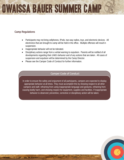# **Camp Regulations**

- Participants may not bring cellphones, IPods, two-way radios, toys, and electronic devices. All electronics that are brought to camp will be held in the office. Multiple offenses will result in suspension.
- Inappropriate behavior will not be tolerated.
- Disciplinary actions range from a verbal warning to expulsion. Parents will be notified of all developments regarding their child's behavior and of any actions that are taken. All cases of suspension and expulsion will be determined by the Camp Director.
- Please see the Camper Code of Conduct for further information.

#### Camper Code of Conduct

In order to ensure the safety and enjoyment of all participants, campers are expected to display appropriate behavior at all times. They must accomplish this by showing respect to all other campers and staff, refraining from using inappropriate language and gestures, refraining from causing bodily harm, and showing respect for equipment, supplies and facilities. If inappropriate behavior is observed; preventive, corrective or disciplinary action will be taken.

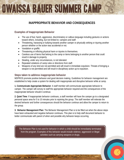# **INAPPROPRIATE BEHAVIOR AND CONSEQUENCES**

### **Examples of Inappropriate Behavior**

- The use of foul, harsh, aggressive, discriminatory or callous language including gestures or actions toward others, including, but not limited to: campers and staff.
- Threatening, harassing or bullying towards another camper or physically striking or injuring another person whether or the action was accidental or not.
- Vandalism or graffiti.
- Threatening or inflicting physical harm or injuries to themselves.
- Careless use of items that belong to the camp or items belonging to another person that could result in damage to property.
- Stealing, under any circumstances, is not tolerated.
- Repeated violations of camp rules or directions from staff.
- Weapons of any kind are not permitted and will result in immediate expulsion. Threats of bringing a weapon is not permitted and will result in disciplinary action up to expulsion.

#### **Steps taken to address inappropriate behavior**

MDPROS promote positive behavior and good decision making. Guidelines for behavior management are established to help create a system for dealing with inappropriate and disruptive behavior while at camp.

**1. Communicate Appropriate Behavior**: A staff member will communicate appropriate behavior to camper. The camper will convey to staff the appropriate behavior required and the consequences of the inappropriate behavior should it continue.

**2. Quiet Time**: If inappropriate behavior continues, a staff member will have the camper go to a designated personal space area for 5 to 10 minutes prior to rejoining the group. The staff member will reiterate the desired behavior and further consequences should the behavior continue and allow the camper to return to the group.

**3. Behavior Management Plan**: The Behavior Management Plan is to be filled out when the above steps have been exhausted and negative behavior continues. This plan is to help staff document behavior to better communicate with parent of when and possible why behavior keeps occurring.

The Behavior Plan is not used for behavior in which a child should be immediately terminated from the program. Examples of this behavior would include violence, aggression or illegal activities such as carrying weapons or drugs.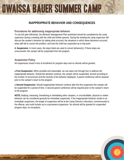# **INAPPROPRIATE BEHAVIOR AND CONSEQUENCES**

#### **Procedures for addressing inappropriate behavior**

To use this plan effectively, the Behavior Management Plan worksheet should be completed by the camp supervisor during a meeting with the child and his/her parents. During the meeting the camp supervisor will discuss the camper's behavior by stating what occurred, the situations in which these behaviors occurred, what staff did to correct the problem, and how the child has responded up to that point.

**4. Suspension:** In most cases, the steps listed are used to correct behavior(s). If these steps are unsuccessful, the camper will be suspended from the program.

### **Suspension Policy**

All suspensions result in loss of enrollment for program days and no refunds will be granted.

• **First Suspension:** When possible and reasonable, we use steps one through four to address the inappropriate behavior. Should the behavior continue, the camper will be suspended, termed according to the number of occurrences and the severity of the behavior displayed. A parent conference will be required prior to the camper's return to the program.

• **Second Suspension:** Should inappropriate behavior continue after the first suspension the camper will be suspended for a period of time. A second parent conference will be required prior to the camper's return to the program.

**NOTE:** Bullying, harassing, threatening or intimidating other campers, or uncontrollable, physical or violent behavior can be considered grounds for immediate suspension. If the inappropriate behavior results in an immediate suspension, the length of suspension will be at the Camp Director's discretion, commensurate to the offense, and could include up to a permanent suspension. No refunds will be granted for suspended program days; no exceptions.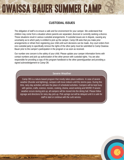# **CUSTODIAL ISSUES**

The obligation of staff is to ensure a safe and fun environment for your camper. We understand that children may come from a situation where parents are separated, divorced or currently seeking a divorce. These situations result in various custodial arrangements. If custodial issues are in dispute, causing any uncertainty as to which party is entitled to pick up the camper, Camp OB asks that you make prior arrangements or refrain from registering your child until such decisions can be made. Any court orders from one custodial party to specifically remove the rights of the other party must be submitted to Camp Owaissa Bauer prior to the camper's participation in the program or as soon as received.

Our number one concern is the safety of your child. Please update your camper information forms with contact numbers and pick up authorization of the other person with custodial rights. You are also responsible for providing a copy of this program handbook to the other parent/guardian and providing a signed acknowledgement to Camp OB.

#### Severe Weather

Camp OB is a nature-based program that mostly takes place outdoors. In case of severe weather (thunder and lightning), campers will move indoors until the storms pass. During this time, rainy day activities will take the place of scheduled activities. Campers will be kept busy with games, crafts, science, movies, cooking, drama, wood working and MORE! If severe weather occurs during pick up, all campers will be moved into the dining hall. Please follow signage and directions for rainy day pick up. Pick up/sign out will be delayed until it is safe for staff to start or continue with the curb service.

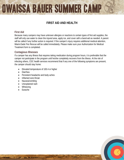# **FIRST AID AND HEALTH**

#### **First Aid**

Because many campers may have unknown allergies or reactions to certain types of first aid supplies, the staff will only use water to clean the injured area, apply ice, and cover with a band-aid as needed. A parent will be called if any further action is required. If the camper's injury requires additional medical attention, Miami-Dade Fire Rescue will be called immediately. Please make sure your Authorization for Medical Treatment form is completed.

#### **Contagious Illnesses**

If a camper has any illness that requires taking medication during program hours, it is preferable that the camper not participate in the program until he/she completely recovers from the illness. At the risk of infecting others, CDC health services recommend that if any one of the following symptoms are present, the camper should stay home:

- Elevated temperature of 100.4 or higher
- Diarrhea
- Persistent headache and body aches
- Inflamed sore throat
- Nausea/vomiting
- Unexplained rash
- **Wheezing**
- **Earache**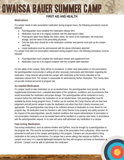# **FIRST AID AND HEALTH**

#### **Medications**

If a camper needs to take prescription medication during program hours, the following procedures must be followed:

• Parent/guardian must complete the medication release form.

OWAISSA BAUER SUMMER CAI

- Medication must be in its original container with the pharmacist's label.
- Pharmacist's label must display the child's name, the name of the medication, the instruction dosage, and the name of the prescribing physician.
- Only the daily dose should be in the medication container and parents must pick up the contain each day.
- Liquid medication must be premeasured with the above information attached.

If a camper must take non-prescription medication during program hours, the following procedures must be followed:

- Parent/guardian must complete the medication release and supplement form.
- Medication must be in its original container with the complete label attached.

For the safety of the camper, there will be no exceptions. In either case (prescription or non-prescription), the parent/guardian must provide in writing all other necessary instructions and information regarding the medication. Camp Director will provide the camper with medication at the time(s) indicated on the medication release form. The camper is responsible for administering his/her medication. The County does not provide medical personnel at program site.

#### **As-needed Medication**

If a camper needs to take medication on an as-needed basis, the parent/guardian must provide, on the supplemental information form, a detailed description of the symptoms, conditions, and circumstances that would necessitate the medication and proper dosage. The parent/guardian will be contacted on every occasion before the child takes the medication on an as-needed basis. One parent/guardian must be available by phone during program hours. If neither can be reached, the Camp Director will use their best judgement and will permit camper to take the medication only when they find it clearly necessary and appropriate. The parent/guardian may bring in the sufficient amount of medication to cover doses for one program day. All medication must be checked in with Camp Director to be properly and safely secured. At the request of the parent/guardian, specific medical conditions that require administration of prescription or non-prescription medication on an as-needed basis will be handled on a case-by-case basis, in accordance with the parent/quardian request. In no case will camp staff administer any medication to a camper.

### **Fast-Acting Medication**

Fast-acting medications, such as asthma inhalers and EpiPens, must be brought by a parent/guardian to the program site. This must be accompanied by a copy of the prescription from a physician, which must be presented to staff prior to the camper participating in the program. Campers are not permitted to bring medication to the camp by themselves. If a camper has a severe allergy that requires an EpiPen, the camper must carry it in a special lightweight backpack that they will recognize and keep on themselves at all times. Camper must be able to administer the medication.